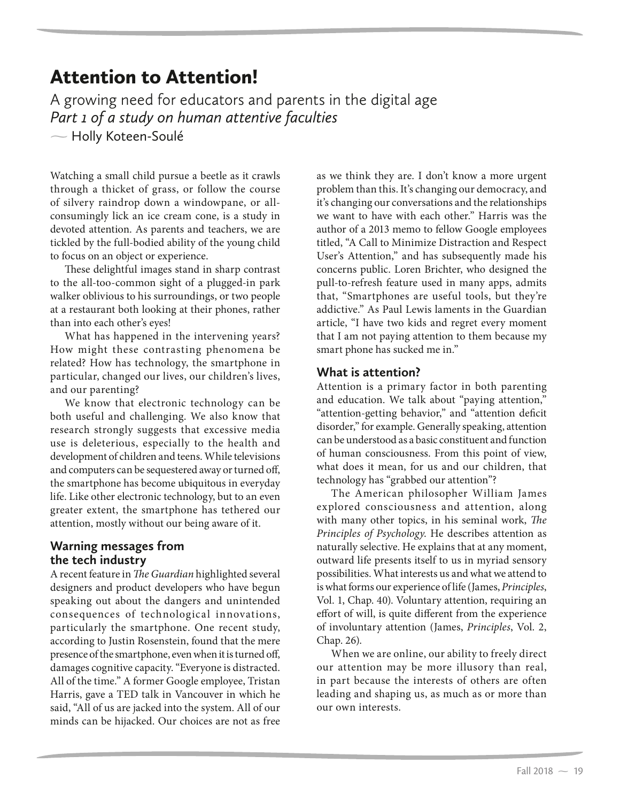# Attention to Attention!

A growing need for educators and parents in the digital age *Part 1 of a study on human attentive faculties*

- Holly Koteen-Soulé

Watching a small child pursue a beetle as it crawls through a thicket of grass, or follow the course of silvery raindrop down a windowpane, or allconsumingly lick an ice cream cone, is a study in devoted attention. As parents and teachers, we are tickled by the full-bodied ability of the young child to focus on an object or experience.

These delightful images stand in sharp contrast to the all-too-common sight of a plugged-in park walker oblivious to his surroundings, or two people at a restaurant both looking at their phones, rather than into each other's eyes!

What has happened in the intervening years? How might these contrasting phenomena be related? How has technology, the smartphone in particular, changed our lives, our children's lives, and our parenting?

We know that electronic technology can be both useful and challenging. We also know that research strongly suggests that excessive media use is deleterious, especially to the health and development of children and teens. While televisions and computers can be sequestered away or turned off, the smartphone has become ubiquitous in everyday life. Like other electronic technology, but to an even greater extent, the smartphone has tethered our attention, mostly without our being aware of it.

# **Warning messages from the tech industry**

A recent feature in *The Guardian* highlighted several designers and product developers who have begun speaking out about the dangers and unintended consequences of technological innovations, particularly the smartphone. One recent study, according to Justin Rosenstein, found that the mere presence of the smartphone, even when it is turned off, damages cognitive capacity. "Everyone is distracted. All of the time." A former Google employee, Tristan Harris, gave a TED talk in Vancouver in which he said, "All of us are jacked into the system. All of our minds can be hijacked. Our choices are not as free

as we think they are. I don't know a more urgent problem than this. It's changing our democracy, and it's changing our conversations and the relationships we want to have with each other." Harris was the author of a 2013 memo to fellow Google employees titled, "A Call to Minimize Distraction and Respect User's Attention," and has subsequently made his concerns public. Loren Brichter, who designed the pull-to-refresh feature used in many apps, admits that, "Smartphones are useful tools, but they're addictive." As Paul Lewis laments in the Guardian article, "I have two kids and regret every moment that I am not paying attention to them because my smart phone has sucked me in."

## **What is attention?**

Attention is a primary factor in both parenting and education. We talk about "paying attention," "attention-getting behavior," and "attention deficit disorder," for example. Generally speaking, attention can be understood as a basic constituent and function of human consciousness. From this point of view, what does it mean, for us and our children, that technology has "grabbed our attention"?

The American philosopher William James explored consciousness and attention, along with many other topics, in his seminal work, *The Principles of Psychology*. He describes attention as naturally selective. He explains that at any moment, outward life presents itself to us in myriad sensory possibilities. What interests us and what we attend to is what forms our experience of life (James, *Principles*, Vol. 1, Chap. 40). Voluntary attention, requiring an effort of will, is quite different from the experience of involuntary attention (James, *Principles*, Vol. 2, Chap. 26).

When we are online, our ability to freely direct our attention may be more illusory than real, in part because the interests of others are often leading and shaping us, as much as or more than our own interests.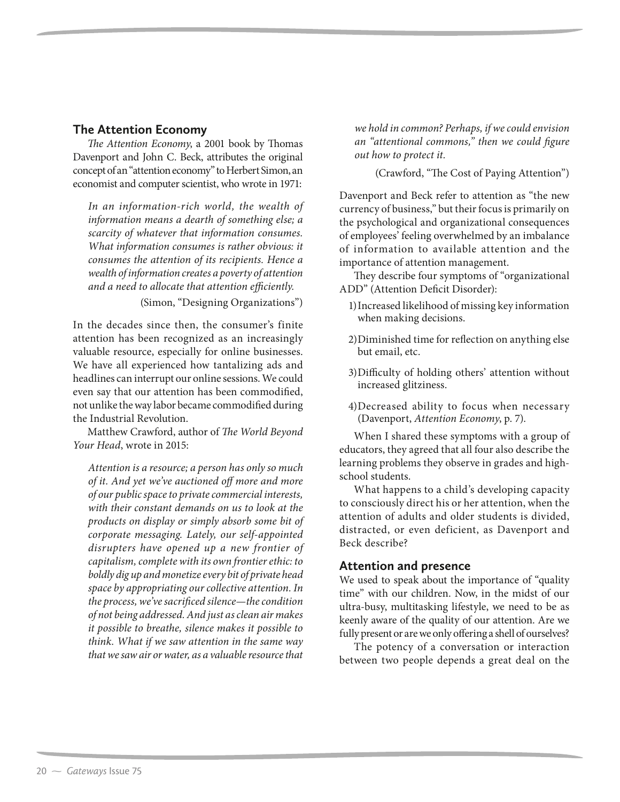### **The Attention Economy**

*The Attention Economy*, a 2001 book by Thomas Davenport and John C. Beck, attributes the original concept of an "attention economy" to Herbert Simon, an economist and computer scientist, who wrote in 1971:

*In an information-rich world, the wealth of information means a dearth of something else; a scarcity of whatever that information consumes. What information consumes is rather obvious: it consumes the attention of its recipients. Hence a wealth of information creates a poverty of attention and a need to allocate that attention efficiently.*

(Simon, "Designing Organizations")

In the decades since then, the consumer's finite attention has been recognized as an increasingly valuable resource, especially for online businesses. We have all experienced how tantalizing ads and headlines can interrupt our online sessions. We could even say that our attention has been commodified, not unlike the way labor became commodified during the Industrial Revolution.

Matthew Crawford, author of *The World Beyond Your Head*, wrote in 2015:

*Attention is a resource; a person has only so much of it. And yet we've auctioned off more and more of our public space to private commercial interests, with their constant demands on us to look at the products on display or simply absorb some bit of corporate messaging. Lately, our self-appointed disrupters have opened up a new frontier of capitalism, complete with its own frontier ethic: to boldly dig up and monetize every bit of private head space by appropriating our collective attention. In the process, we've sacrificed silence—the condition of not being addressed. And just as clean air makes it possible to breathe, silence makes it possible to think. What if we saw attention in the same way that we saw air or water, as a valuable resource that* 

*we hold in common? Perhaps, if we could envision an "attentional commons," then we could figure out how to protect it.* 

(Crawford, "The Cost of Paying Attention")

Davenport and Beck refer to attention as "the new currency of business," but their focus is primarily on the psychological and organizational consequences of employees' feeling overwhelmed by an imbalance of information to available attention and the importance of attention management.

They describe four symptoms of "organizational ADD" (Attention Deficit Disorder):

- 1) Increased likelihood of missing key information when making decisions.
- 2) Diminished time for reflection on anything else but email, etc.
- 3) Difficulty of holding others' attention without increased glitziness.
- 4) Decreased ability to focus when necessary (Davenport, *Attention Economy*, p. 7).

When I shared these symptoms with a group of educators, they agreed that all four also describe the learning problems they observe in grades and highschool students.

What happens to a child's developing capacity to consciously direct his or her attention, when the attention of adults and older students is divided, distracted, or even deficient, as Davenport and Beck describe?

#### **Attention and presence**

We used to speak about the importance of "quality time" with our children. Now, in the midst of our ultra-busy, multitasking lifestyle, we need to be as keenly aware of the quality of our attention. Are we fully present or are we only offering a shell of ourselves?

The potency of a conversation or interaction between two people depends a great deal on the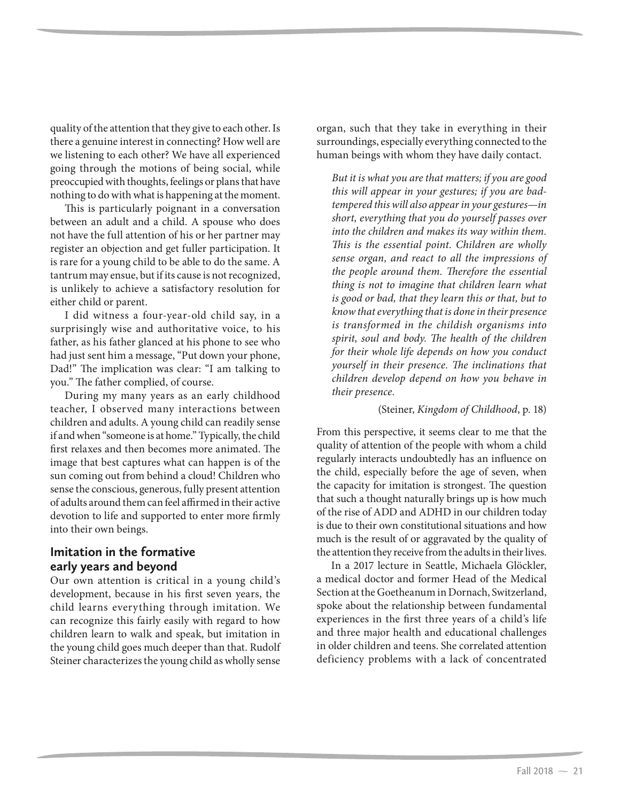quality of the attention that they give to each other. Is there a genuine interest in connecting? How well are we listening to each other? We have all experienced going through the motions of being social, while preoccupied with thoughts, feelings or plans that have nothing to do with what is happening at the moment.

This is particularly poignant in a conversation between an adult and a child. A spouse who does not have the full attention of his or her partner may register an objection and get fuller participation. It is rare for a young child to be able to do the same. A tantrum may ensue, but if its cause is not recognized, is unlikely to achieve a satisfactory resolution for either child or parent.

I did witness a four-year-old child say, in a surprisingly wise and authoritative voice, to his father, as his father glanced at his phone to see who had just sent him a message, "Put down your phone, Dad!" The implication was clear: "I am talking to you." The father complied, of course.

During my many years as an early childhood teacher, I observed many interactions between children and adults. A young child can readily sense if and when "someone is at home." Typically, the child first relaxes and then becomes more animated. The image that best captures what can happen is of the sun coming out from behind a cloud! Children who sense the conscious, generous, fully present attention of adults around them can feel affirmed in their active devotion to life and supported to enter more firmly into their own beings.

#### **Imitation in the formative early years and beyond**

Our own attention is critical in a young child's development, because in his first seven years, the child learns everything through imitation. We can recognize this fairly easily with regard to how children learn to walk and speak, but imitation in the young child goes much deeper than that. Rudolf Steiner characterizes the young child as wholly sense

organ, such that they take in everything in their surroundings, especially everything connected to the human beings with whom they have daily contact.

*But it is what you are that matters; if you are good this will appear in your gestures; if you are badtempered this will also appear in your gestures—in short, everything that you do yourself passes over into the children and makes its way within them. This is the essential point. Children are wholly sense organ, and react to all the impressions of the people around them. Therefore the essential thing is not to imagine that children learn what is good or bad, that they learn this or that, but to know that everything that is done in their presence is transformed in the childish organisms into spirit, soul and body. The health of the children for their whole life depends on how you conduct yourself in their presence. The inclinations that children develop depend on how you behave in their presence.* 

#### (Steiner, *Kingdom of Childhood*, p. 18)

From this perspective, it seems clear to me that the quality of attention of the people with whom a child regularly interacts undoubtedly has an influence on the child, especially before the age of seven, when the capacity for imitation is strongest. The question that such a thought naturally brings up is how much of the rise of ADD and ADHD in our children today is due to their own constitutional situations and how much is the result of or aggravated by the quality of the attention they receive from the adults in their lives.

In a 2017 lecture in Seattle, Michaela Glöckler, a medical doctor and former Head of the Medical Section at the Goetheanum in Dornach, Switzerland, spoke about the relationship between fundamental experiences in the first three years of a child's life and three major health and educational challenges in older children and teens. She correlated attention deficiency problems with a lack of concentrated